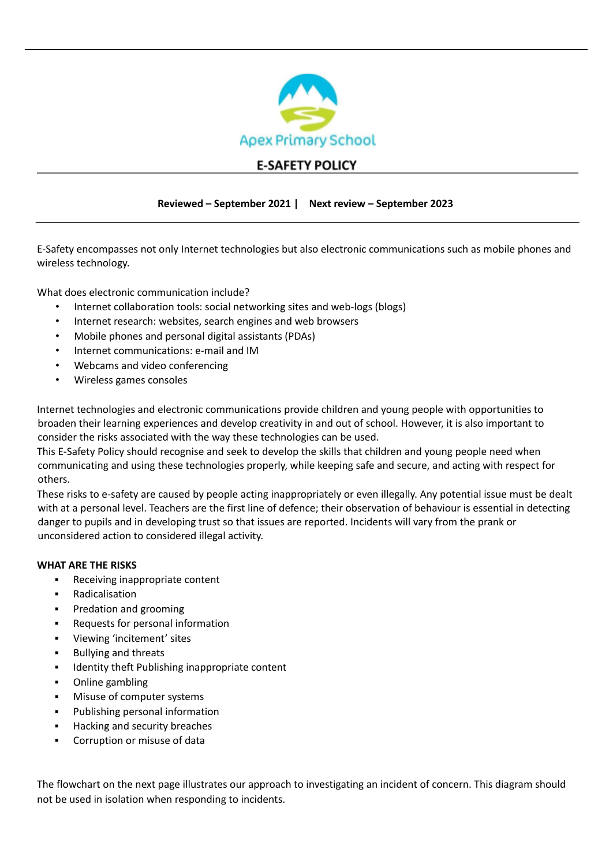

# **E-SAFETY POLICY**

#### **Reviewed – September 2021 | Next review – September 2023**

E-Safety encompasses not only Internet technologies but also electronic communications such as mobile phones and wireless technology.

What does electronic communication include?

- Internet collaboration tools: social networking sites and web-logs (blogs)
- Internet research: websites, search engines and web browsers
- Mobile phones and personal digital assistants (PDAs)
- Internet communications: e-mail and IM
- Webcams and video conferencing
- Wireless games consoles

Internet technologies and electronic communications provide children and young people with opportunities to broaden their learning experiences and develop creativity in and out of school. However, it is also important to consider the risks associated with the way these technologies can be used.

This E-Safety Policy should recognise and seek to develop the skills that children and young people need when communicating and using these technologies properly, while keeping safe and secure, and acting with respect for others.

These risks to e-safety are caused by people acting inappropriately or even illegally. Any potential issue must be dealt with at a personal level. Teachers are the first line of defence; their observation of behaviour is essential in detecting danger to pupils and in developing trust so that issues are reported. Incidents will vary from the prank or unconsidered action to considered illegal activity.

#### **WHAT ARE THE RISKS**

- Receiving inappropriate content
- Radicalisation
- Predation and grooming
- Requests for personal information
- Viewing 'incitement' sites
- **Bullying and threats**
- Identity theft Publishing inappropriate content
- Online gambling
- Misuse of computer systems
- Publishing personal information
- Hacking and security breaches
- Corruption or misuse of data

The flowchart on the next page illustrates our approach to investigating an incident of concern. This diagram should not be used in isolation when responding to incidents.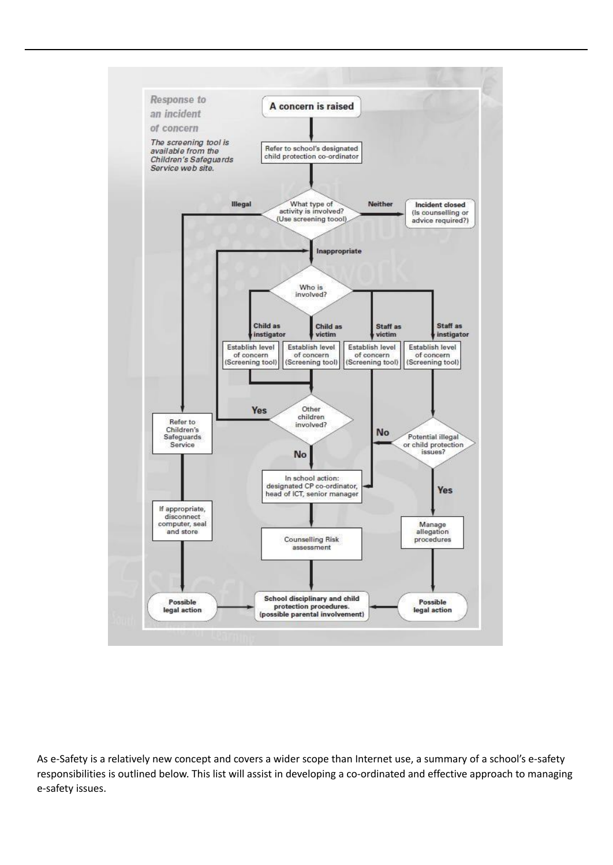

As e-Safety is a relatively new concept and covers a wider scope than Internet use, a summary of a school's e-safety responsibilities is outlined below. This list will assist in developing a co-ordinated and effective approach to managing e-safety issues.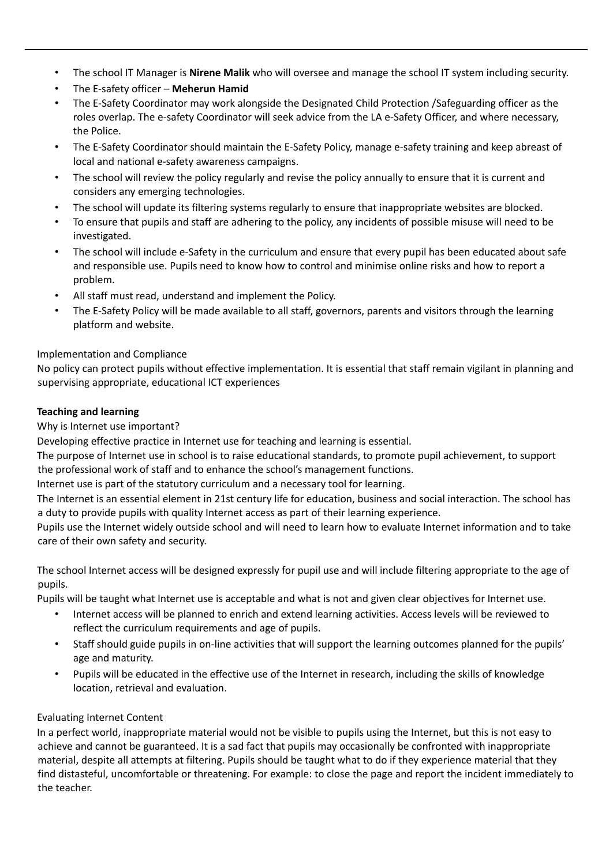- The school IT Manager is **Nirene Malik** who will oversee and manage the school IT system including security.
- The E-safety officer **Meherun Hamid**
- The E-Safety Coordinator may work alongside the Designated Child Protection /Safeguarding officer as the roles overlap. The e-safety Coordinator will seek advice from the LA e-Safety Officer, and where necessary, the Police.
- The E-Safety Coordinator should maintain the E-Safety Policy, manage e-safety training and keep abreast of local and national e-safety awareness campaigns.
- The school will review the policy regularly and revise the policy annually to ensure that it is current and considers any emerging technologies.
- The school will update its filtering systems regularly to ensure that inappropriate websites are blocked.
- To ensure that pupils and staff are adhering to the policy, any incidents of possible misuse will need to be investigated.
- The school will include e-Safety in the curriculum and ensure that every pupil has been educated about safe and responsible use. Pupils need to know how to control and minimise online risks and how to report a problem.
- All staff must read, understand and implement the Policy.
- The E-Safety Policy will be made available to all staff, governors, parents and visitors through the learning platform and website.

# Implementation and Compliance

No policy can protect pupils without effective implementation. It is essential that staff remain vigilant in planning and supervising appropriate, educational ICT experiences

### **Teaching and learning**

Why is Internet use important?

Developing effective practice in Internet use for teaching and learning is essential.

The purpose of Internet use in school is to raise educational standards, to promote pupil achievement, to support the professional work of staff and to enhance the school's management functions.

Internet use is part of the statutory curriculum and a necessary tool for learning.

The Internet is an essential element in 21st century life for education, business and social interaction. The school has a duty to provide pupils with quality Internet access as part of their learning experience.

Pupils use the Internet widely outside school and will need to learn how to evaluate Internet information and to take care of their own safety and security.

The school Internet access will be designed expressly for pupil use and will include filtering appropriate to the age of pupils.

Pupils will be taught what Internet use is acceptable and what is not and given clear objectives for Internet use.

- Internet access will be planned to enrich and extend learning activities. Access levels will be reviewed to reflect the curriculum requirements and age of pupils.
- Staff should guide pupils in on-line activities that will support the learning outcomes planned for the pupils' age and maturity.
- Pupils will be educated in the effective use of the Internet in research, including the skills of knowledge location, retrieval and evaluation.

### Evaluating Internet Content

In a perfect world, inappropriate material would not be visible to pupils using the Internet, but this is not easy to achieve and cannot be guaranteed. It is a sad fact that pupils may occasionally be confronted with inappropriate material, despite all attempts at filtering. Pupils should be taught what to do if they experience material that they find distasteful, uncomfortable or threatening. For example: to close the page and report the incident immediately to the teacher.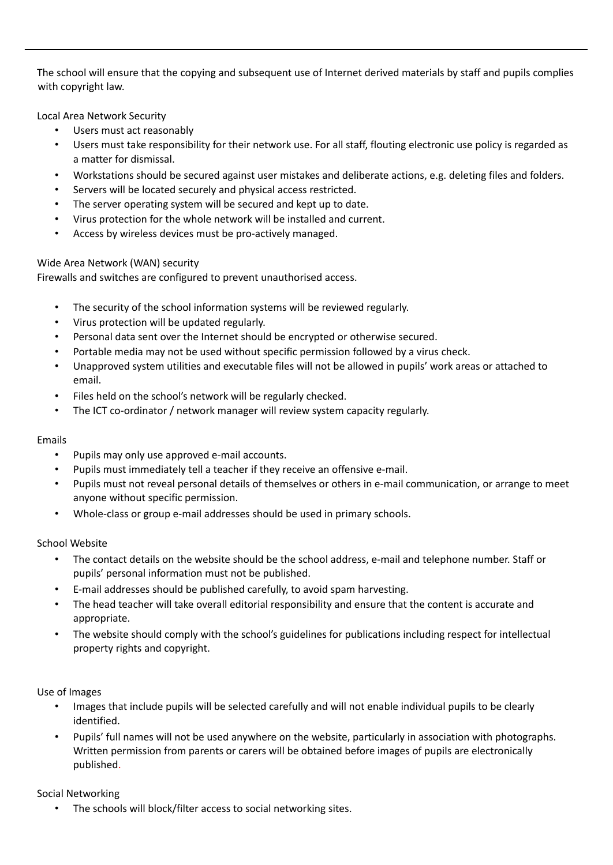The school will ensure that the copying and subsequent use of Internet derived materials by staff and pupils complies with copyright law.

Local Area Network Security

- Users must act reasonably
- Users must take responsibility for their network use. For all staff, flouting electronic use policy is regarded as a matter for dismissal.
- Workstations should be secured against user mistakes and deliberate actions, e.g. deleting files and folders.
- Servers will be located securely and physical access restricted.
- The server operating system will be secured and kept up to date.
- Virus protection for the whole network will be installed and current.
- Access by wireless devices must be pro-actively managed.

### Wide Area Network (WAN) security

Firewalls and switches are configured to prevent unauthorised access.

- The security of the school information systems will be reviewed regularly.
- Virus protection will be updated regularly.
- Personal data sent over the Internet should be encrypted or otherwise secured.
- Portable media may not be used without specific permission followed by a virus check.
- Unapproved system utilities and executable files will not be allowed in pupils' work areas or attached to email.
- Files held on the school's network will be regularly checked.
- The ICT co-ordinator / network manager will review system capacity regularly.

### Emails

- Pupils may only use approved e-mail accounts.
- Pupils must immediately tell a teacher if they receive an offensive e-mail.
- Pupils must not reveal personal details of themselves or others in e-mail communication, or arrange to meet anyone without specific permission.
- Whole-class or group e-mail addresses should be used in primary schools.

### School Website

- The contact details on the website should be the school address, e-mail and telephone number. Staff or pupils' personal information must not be published.
- E-mail addresses should be published carefully, to avoid spam harvesting.
- The head teacher will take overall editorial responsibility and ensure that the content is accurate and appropriate.
- The website should comply with the school's guidelines for publications including respect for intellectual property rights and copyright.

### Use of Images

- Images that include pupils will be selected carefully and will not enable individual pupils to be clearly identified.
- Pupils' full names will not be used anywhere on the website, particularly in association with photographs. Written permission from parents or carers will be obtained before images of pupils are electronically published.

### Social Networking

The schools will block/filter access to social networking sites.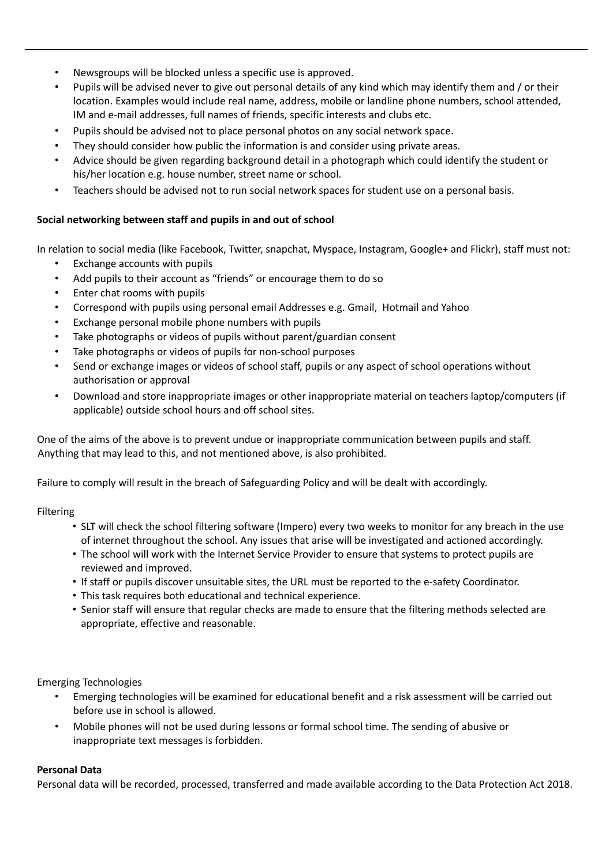- Newsgroups will be blocked unless a specific use is approved.
- Pupils will be advised never to give out personal details of any kind which may identify them and / or their location. Examples would include real name, address, mobile or landline phone numbers, school attended, IM and e-mail addresses, full names of friends, specific interests and clubs etc.
- Pupils should be advised not to place personal photos on any social network space.
- They should consider how public the information is and consider using private areas.
- Advice should be given regarding background detail in a photograph which could identify the student or his/her location e.g. house number, street name or school.
- Teachers should be advised not to run social network spaces for student use on a personal basis.

# **Social networking between staff and pupils in and out of school**

In relation to social media (like Facebook, Twitter, snapchat, Myspace, Instagram, Google+ and Flickr), staff must not:

- Exchange accounts with pupils
- Add pupils to their account as "friends" or encourage them to do so
- Enter chat rooms with pupils
- Correspond with pupils using personal email Addresses e.g. Gmail, Hotmail and Yahoo
- Exchange personal mobile phone numbers with pupils
- Take photographs or videos of pupils without parent/guardian consent
- Take photographs or videos of pupils for non-school purposes
- Send or exchange images or videos of school staff, pupils or any aspect of school operations without authorisation or approval
- Download and store inappropriate images or other inappropriate material on teachers laptop/computers (if applicable) outside school hours and off school sites.

One of the aims of the above is to prevent undue or inappropriate communication between pupils and staff. Anything that may lead to this, and not mentioned above, is also prohibited.

Failure to comply will result in the breach of Safeguarding Policy and will be dealt with accordingly.

### Filtering

- SLT will check the school filtering software (Impero) every two weeks to monitor for any breach in the use of internet throughout the school. Any issues that arise will be investigated and actioned accordingly.
- The school will work with the Internet Service Provider to ensure that systems to protect pupils are reviewed and improved.
- If staff or pupils discover unsuitable sites, the URL must be reported to the e-safety Coordinator.
- This task requires both educational and technical experience.
- Senior staff will ensure that regular checks are made to ensure that the filtering methods selected are appropriate, effective and reasonable.

Emerging Technologies

- Emerging technologies will be examined for educational benefit and a risk assessment will be carried out before use in school is allowed.
- Mobile phones will not be used during lessons or formal school time. The sending of abusive or inappropriate text messages is forbidden.

### **Personal Data**

Personal data will be recorded, processed, transferred and made available according to the Data Protection Act 2018.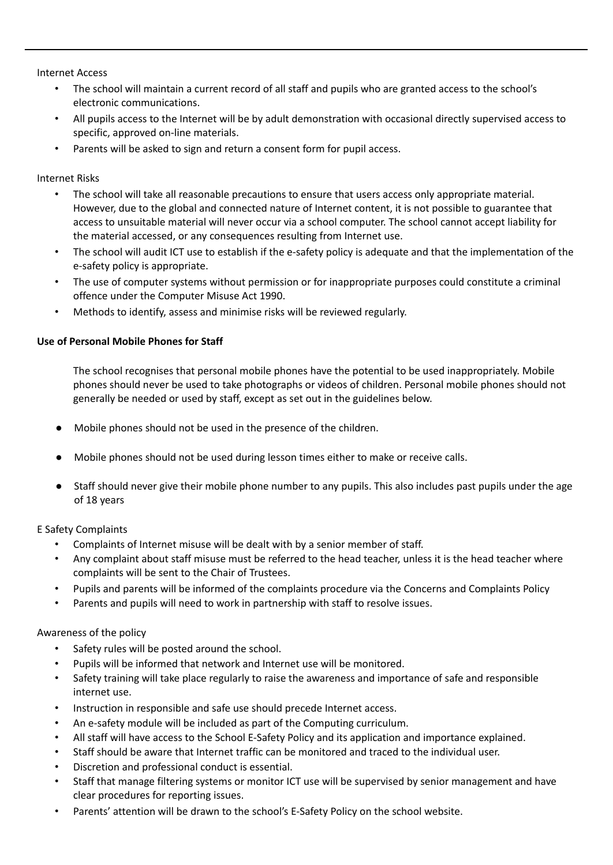Internet Access

- The school will maintain a current record of all staff and pupils who are granted access to the school's electronic communications.
- All pupils access to the Internet will be by adult demonstration with occasional directly supervised access to specific, approved on-line materials.
- Parents will be asked to sign and return a consent form for pupil access.

Internet Risks

- The school will take all reasonable precautions to ensure that users access only appropriate material. However, due to the global and connected nature of Internet content, it is not possible to guarantee that access to unsuitable material will never occur via a school computer. The school cannot accept liability for the material accessed, or any consequences resulting from Internet use.
- The school will audit ICT use to establish if the e-safety policy is adequate and that the implementation of the e-safety policy is appropriate.
- The use of computer systems without permission or for inappropriate purposes could constitute a criminal offence under the Computer Misuse Act 1990.
- Methods to identify, assess and minimise risks will be reviewed regularly.

#### **Use of Personal Mobile Phones for Staff**

The school recognises that personal mobile phones have the potential to be used inappropriately. Mobile phones should never be used to take photographs or videos of children. Personal mobile phones should not generally be needed or used by staff, except as set out in the guidelines below.

- Mobile phones should not be used in the presence of the children.
- Mobile phones should not be used during lesson times either to make or receive calls.
- Staff should never give their mobile phone number to any pupils. This also includes past pupils under the age of 18 years

E Safety Complaints

- Complaints of Internet misuse will be dealt with by a senior member of staff.
- Any complaint about staff misuse must be referred to the head teacher, unless it is the head teacher where complaints will be sent to the Chair of Trustees.
- Pupils and parents will be informed of the complaints procedure via the Concerns and Complaints Policy
- Parents and pupils will need to work in partnership with staff to resolve issues.

#### Awareness of the policy

- Safety rules will be posted around the school.
- Pupils will be informed that network and Internet use will be monitored.
- Safety training will take place regularly to raise the awareness and importance of safe and responsible internet use.
- Instruction in responsible and safe use should precede Internet access.
- An e-safety module will be included as part of the Computing curriculum.
- All staff will have access to the School E-Safety Policy and its application and importance explained.
- Staff should be aware that Internet traffic can be monitored and traced to the individual user.
- Discretion and professional conduct is essential.
- Staff that manage filtering systems or monitor ICT use will be supervised by senior management and have clear procedures for reporting issues.
- Parents' attention will be drawn to the school's E-Safety Policy on the school website.